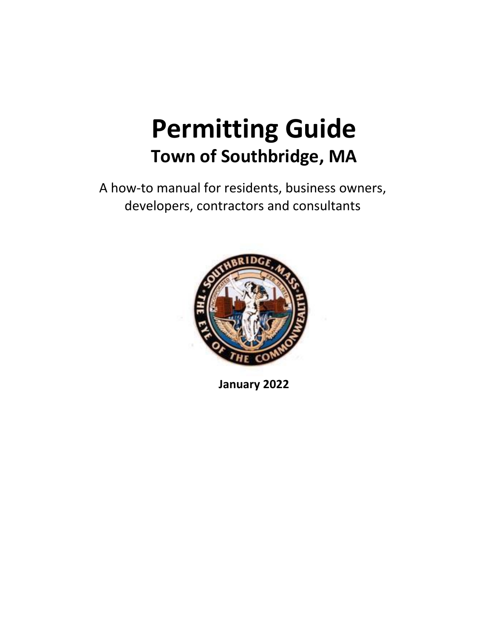# **Permitting Guide Town of Southbridge, MA**

A how‐to manual for residents, business owners, developers, contractors and consultants



**January 2022**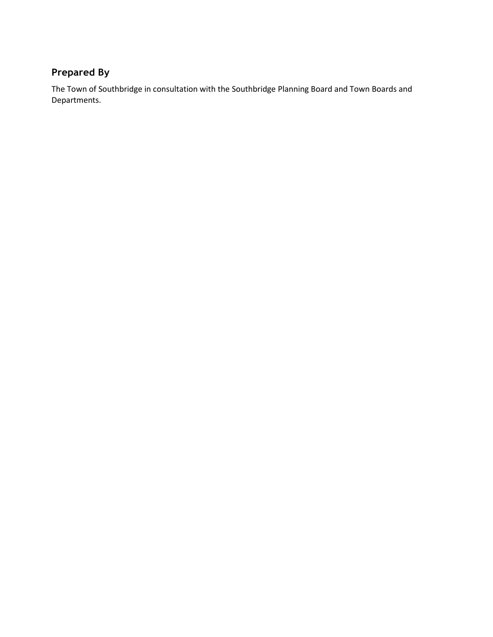### **Prepared By**

The Town of Southbridge in consultation with the Southbridge Planning Board and Town Boards and Departments.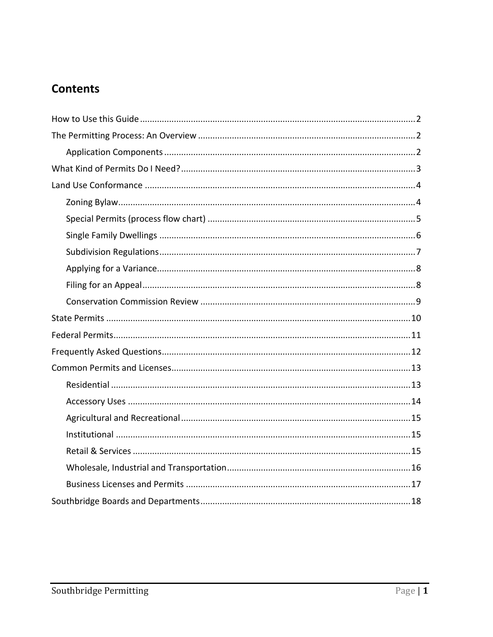# **Contents**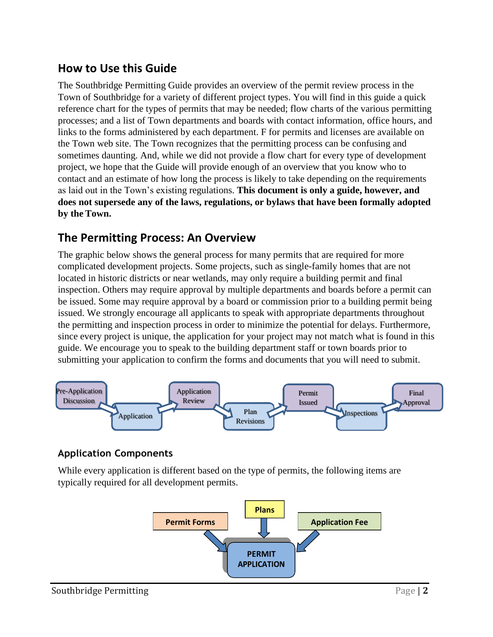# <span id="page-3-0"></span>**How to Use this Guide**

The Southbridge Permitting Guide provides an overview of the permit review process in the Town of Southbridge for a variety of different project types. You will find in this guide a quick reference chart for the types of permits that may be needed; flow charts of the various permitting processes; and a list of Town departments and boards with contact information, office hours, and links to the forms administered by each department. F for permits and licenses are available on the Town web site. The Town recognizes that the permitting process can be confusing and sometimes daunting. And, while we did not provide a flow chart for every type of development project, we hope that the Guide will provide enough of an overview that you know who to contact and an estimate of how long the process is likely to take depending on the requirements as laid out in the Town's existing regulations. **This document is only a guide, however, and does not supersede any of the laws, regulations, or bylaws that have been formally adopted by the Town.**

# <span id="page-3-1"></span>**The Permitting Process: An Overview**

The graphic below shows the general process for many permits that are required for more complicated development projects. Some projects, such as single-family homes that are not located in historic districts or near wetlands, may only require a building permit and final inspection. Others may require approval by multiple departments and boards before a permit can be issued. Some may require approval by a board or commission prior to a building permit being issued. We strongly encourage all applicants to speak with appropriate departments throughout the permitting and inspection process in order to minimize the potential for delays. Furthermore, since every project is unique, the application for your project may not match what is found in this guide. We encourage you to speak to the building department staff or town boards prior to submitting your application to confirm the forms and documents that you will need to submit.



### <span id="page-3-2"></span>**Application Components**

While every application is different based on the type of permits, the following items are typically required for all development permits.

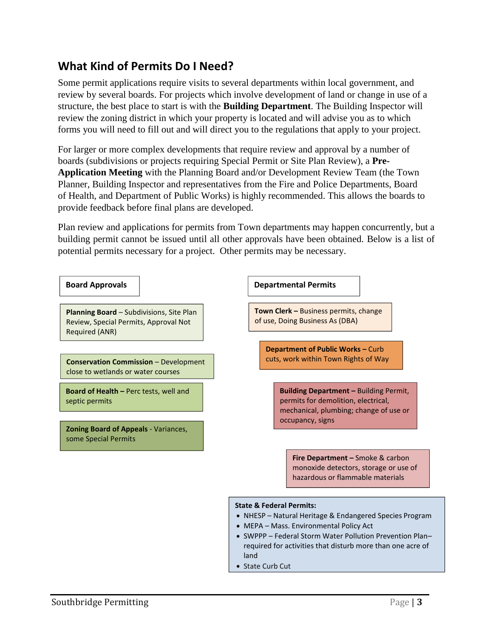# <span id="page-4-0"></span>**What Kind of Permits Do I Need?**

Some permit applications require visits to several departments within local government, and review by several boards. For projects which involve development of land or change in use of a structure, the best place to start is with the **Building Department**. The Building Inspector will review the zoning district in which your property is located and will advise you as to which forms you will need to fill out and will direct you to the regulations that apply to your project.

For larger or more complex developments that require review and approval by a number of boards (subdivisions or projects requiring Special Permit or Site Plan Review), a **Pre-Application Meeting** with the Planning Board and/or Development Review Team (the Town Planner, Building Inspector and representatives from the Fire and Police Departments, Board of Health, and Department of Public Works) is highly recommended. This allows the boards to provide feedback before final plans are developed.

Plan review and applications for permits from Town departments may happen concurrently, but a building permit cannot be issued until all other approvals have been obtained. Below is a list of potential permits necessary for a project. Other permits may be necessary.

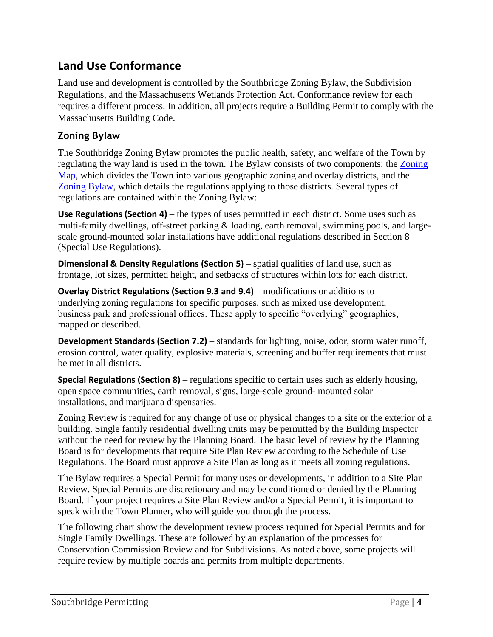# <span id="page-5-0"></span>**Land Use Conformance**

Land use and development is controlled by the Southbridge Zoning Bylaw, the Subdivision Regulations, and the Massachusetts Wetlands Protection Act. Conformance review for each requires a different process. In addition, all projects require a Building Permit to comply with the Massachusetts Building Code.

### <span id="page-5-1"></span>**Zoning Bylaw**

The Southbridge Zoning Bylaw promotes the public health, safety, and welfare of the Town by regulating the way land is used in the town. The Bylaw consists of two components: the Zoning Map, which divides the Town into various geographic zoning and overlay districts, and the Zoning Bylaw, which details the regulations applying to those districts. Several types of regulations are contained within the Zoning Bylaw:

**Use Regulations (Section 4)** – the types of uses permitted in each district. Some uses such as multi-family dwellings, off-street parking & loading, earth removal, swimming pools, and largescale ground-mounted solar installations have additional regulations described in Section 8 (Special Use Regulations).

**Dimensional & Density Regulations (Section 5)** – spatial qualities of land use, such as frontage, lot sizes, permitted height, and setbacks of structures within lots for each district.

**Overlay District Regulations (Section 9.3 and 9.4)** – modifications or additions to underlying zoning regulations for specific purposes, such as mixed use development, business park and professional offices. These apply to specific "overlying" geographies, mapped or described.

**Development Standards (Section 7.2)** – standards for lighting, noise, odor, storm water runoff, erosion control, water quality, explosive materials, screening and buffer requirements that must be met in all districts.

**Special Regulations (Section 8)** – regulations specific to certain uses such as elderly housing, open space communities, earth removal, signs, large-scale ground- mounted solar installations, and marijuana dispensaries.

Zoning Review is required for any change of use or physical changes to a site or the exterior of a building. Single family residential dwelling units may be permitted by the Building Inspector without the need for review by the Planning Board. The basic level of review by the Planning Board is for developments that require Site Plan Review according to the Schedule of Use Regulations. The Board must approve a Site Plan as long as it meets all zoning regulations.

The Bylaw requires a Special Permit for many uses or developments, in addition to a Site Plan Review. Special Permits are discretionary and may be conditioned or denied by the Planning Board. If your project requires a Site Plan Review and/or a Special Permit, it is important to speak with the Town Planner, who will guide you through the process.

The following chart show the development review process required for Special Permits and for Single Family Dwellings. These are followed by an explanation of the processes for Conservation Commission Review and for Subdivisions. As noted above, some projects will require review by multiple boards and permits from multiple departments.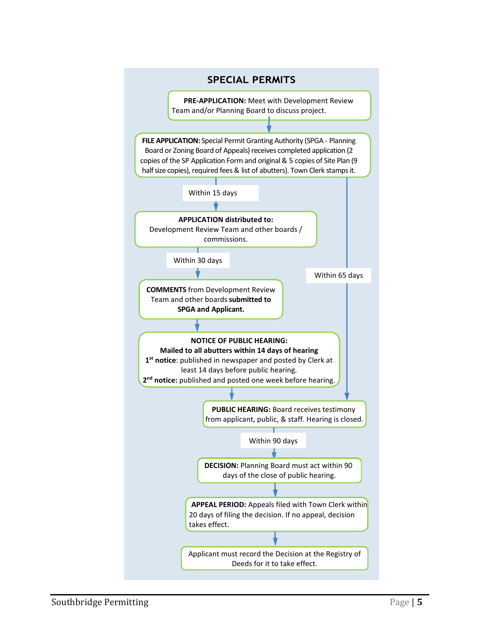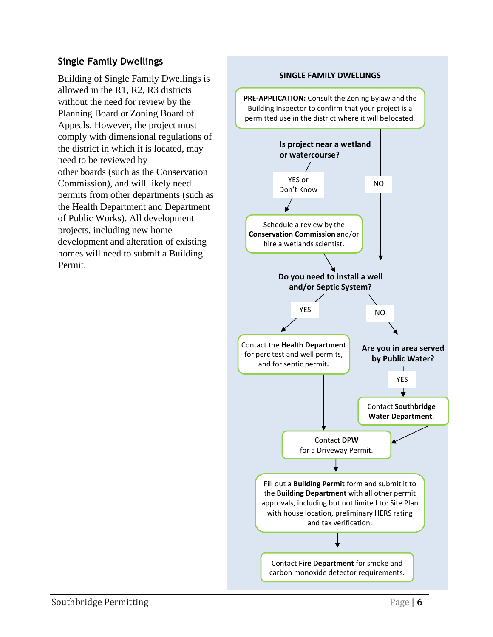### <span id="page-7-0"></span>**Single Family Dwellings**

Building of Single Family Dwellings is allowed in the R1, R2, R3 districts without the need for review by the Planning Board or Zoning Board of Appeals. However, the project must comply with dimensional regulations of the district in which it is located, may need to be reviewed by other boards (such as the Conservation Commission), and will likely need permits from other departments (such as the Health Department and Department of Public Works). All development projects, including new home development and alteration of existing homes will need to submit a Building Permit.

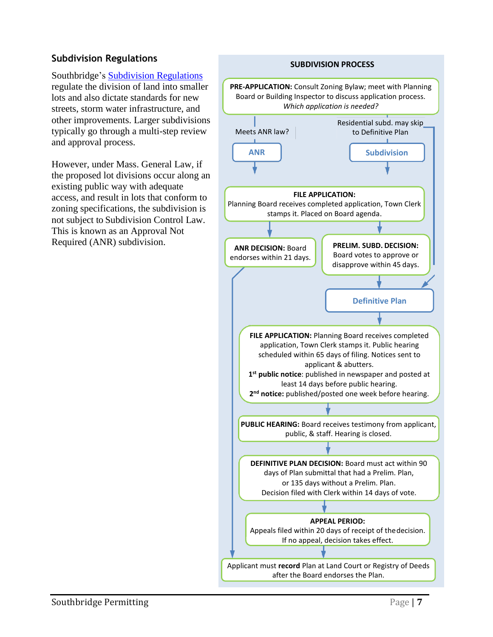### <span id="page-8-0"></span>**Subdivision Regulations**

Southbridge's Subdivision Regulations regulate the division of land into smaller lots and also dictate standards for new streets, storm water infrastructure, and other improvements. Larger subdivisions typically go through a multi-step review and approval process.

However, under Mass. General Law, if the proposed lot divisions occur along an existing public way with adequate access, and result in lots that conform to zoning specifications, the subdivision is not subject to Subdivision Control Law. This is known as an Approval Not Required (ANR) subdivision.

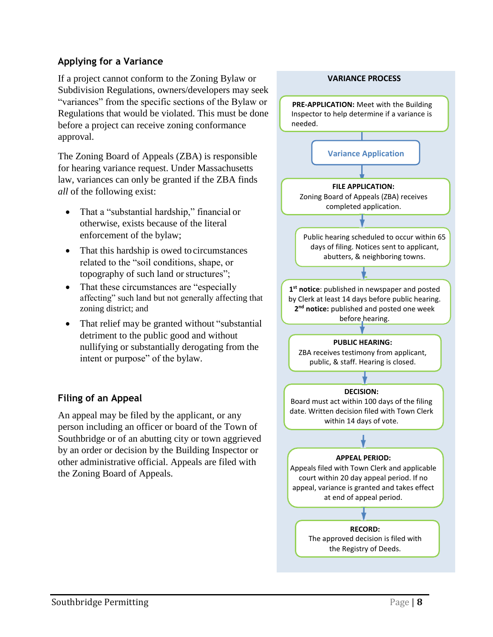### <span id="page-9-0"></span>**Applying for a Variance**

If a project cannot conform to the Zoning Bylaw or Subdivision Regulations, owners/developers may seek "variances" from the specific sections of the Bylaw or Regulations that would be violated. This must be done before a project can receive zoning conformance approval.

The Zoning Board of Appeals (ZBA) is responsible for hearing variance request. Under Massachusetts law, variances can only be granted if the ZBA finds *all* of the following exist:

- That a "substantial hardship," financial or otherwise, exists because of the literal enforcement of the bylaw;
- That this hardship is owed to circumstances related to the "soil conditions, shape, or topography of such land or structures";
- That these circumstances are "especially" affecting" such land but not generally affecting that zoning district; and
- That relief may be granted without "substantial" detriment to the public good and without nullifying or substantially derogating from the intent or purpose" of the bylaw.

### **Filing of an Appeal**

An appeal may be filed by the applicant, or any person including an officer or board of the Town of Southbridge or of an abutting city or town aggrieved by an order or decision by the Building Inspector or other administrative official. Appeals are filed with the Zoning Board of Appeals.

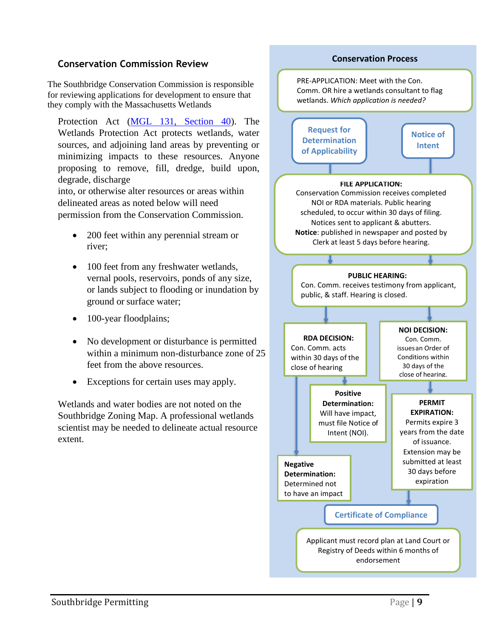#### <span id="page-10-0"></span>**Conservation Commission Review**

The Southbridge Conservation Commission is responsible for reviewing applications for development to ensure that they comply with the Massachusetts Wetlands

Protection Act (MGL 131, Section 40). The Wetlands Protection Act protects wetlands, water sources, and adjoining land areas by preventing or minimizing impacts to these resources. Anyone proposing to remove, fill, dredge, build upon, degrade, discharge

into, or otherwise alter resources or areas within delineated areas as noted below will need permission from the Conservation Commission.

- 200 feet within any perennial stream or river;
- 100 feet from any freshwater wetlands, vernal pools, reservoirs, ponds of any size, or lands subject to flooding or inundation by ground or surface water;
- 100-year floodplains;
- No development or disturbance is permitted within a minimum non-disturbance zone of 25 feet from the above resources.
- Exceptions for certain uses may apply.

Wetlands and water bodies are not noted on the Southbridge Zoning Map. A professional wetlands scientist may be needed to delineate actual resource extent.

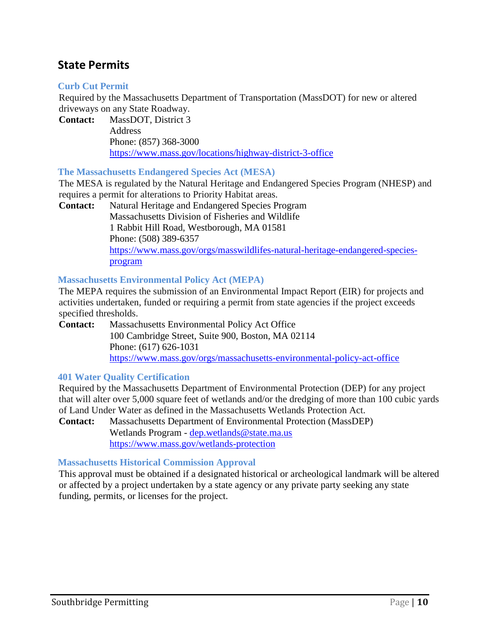## <span id="page-11-0"></span>**State Permits**

#### **Curb Cut Permit**

Required by the Massachusetts Department of Transportation (MassDOT) for new or altered driveways on any State Roadway.

**Contact:** MassDOT, District 3 **Address** Phone: (857) 368-3000 [https://www.m](http://www.mass.gov/locations/highway-district-2-office)[ass.gov/locations/highway-district-3-office](http://www.mass.gov/locations/highway-district-3-office)

#### **The Massachusetts Endangered Species Act (MESA)**

The MESA is regulated by the Natural Heritage and Endangered Species Program (NHESP) and requires a permit for alterations to Priority Habitat areas.

**Contact:** Natural Heritage and Endangered Species Program Massachusetts Division of Fisheries and Wildlife 1 Rabbit Hill Road, Westborough, MA 01581 Phone: (508) 389-6357 [https://www.mass.gov/orgs/masswildlifes-natural-heritage-endangered-species](http://www.mass.gov/orgs/masswildlifes-natural-heritage-endangered-species-)program

#### **Massachusetts Environmental Policy Act (MEPA)**

The MEPA requires the submission of an Environmental Impact Report (EIR) for projects and activities undertaken, funded or requiring a permit from state agencies if the project exceeds specified thresholds.

**Contact:** Massachusetts Environmental Policy Act Office 100 Cambridge Street, Suite 900, Boston, MA 02114 Phone: (617) 626-1031 [https://www.mass.gov/orgs/massachusetts-environmental-policy-act-office](http://www.mass.gov/orgs/massachusetts-environmental-policy-act-office)

#### **401 Water Quality Certification**

Required by the Massachusetts Department of Environmental Protection (DEP) for any project that will alter over 5,000 square feet of wetlands and/or the dredging of more than 100 cubic yards of Land Under Water as defined in the Massachusetts Wetlands Protection Act.

**Contact:** Massachusetts Department of Environmental Protection (MassDEP) Wetlands Program - [dep.wetlands@state.ma.us](mailto:dep.wetlands@state.ma.us) [https://www.mass.gov/wetlands-protection](http://www.mass.gov/wetlands-protection)

#### **Massachusetts Historical Commission Approval**

This approval must be obtained if a designated historical or archeological landmark will be altered or affected by a project undertaken by a state agency or any private party seeking any state funding, permits, or licenses for the project.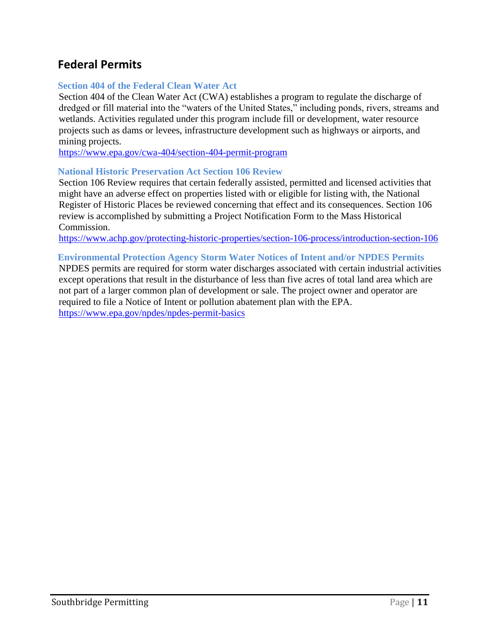# <span id="page-12-0"></span>**Federal Permits**

#### **Section 404 of the Federal Clean Water Act**

Section 404 of the Clean Water Act (CWA) establishes a program to regulate the discharge of dredged or fill material into the "waters of the United States," including ponds, rivers, streams and wetlands. Activities regulated under this program include fill or development, water resource projects such as dams or levees, infrastructure development such as highways or airports, and mining projects.

[https://www.epa.gov/cwa](http://www.epa.gov/cwa-404/section-404-permit-program)-404/s[ection-404-permit-program](http://www.epa.gov/cwa-404/section-404-permit-program)

#### **National Historic Preservation Act Section 106 Review**

Section 106 Review requires that certain federally assisted, permitted and licensed activities that might have an adverse effect on properties listed with or eligible for listing with, the National Register of Historic Places be reviewed concerning that effect and its consequences. Section 106 review is accomplished by submitting a Project Notification Form to the Mass Historical Commission.

[https://www.achp.gov/protecting-historic-properties/section-106-process/introduction-section-106](http://www.achp.gov/protecting-historic-properties/section-106-process/introduction-section-106)

#### **Environmental Protection Agency Storm Water Notices of Intent and/or NPDES Permits**

NPDES permits are required for storm water discharges associated with certain industrial activities except operations that result in the disturbance of less than five acres of total land area which are not part of a larger common plan of development or sale. The project owner and operator are required to file a Notice of Intent or pollution abatement plan with the EPA. [https://www.epa.gov/npdes/npdes-permit-basics](http://www.epa.gov/npdes/npdes-permit-basics)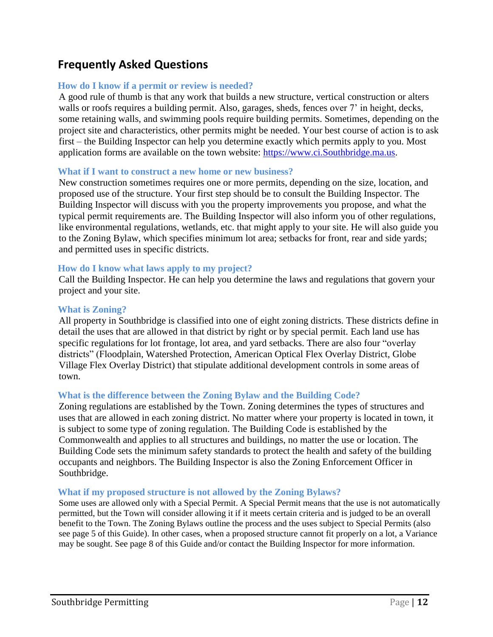# <span id="page-13-0"></span>**Frequently Asked Questions**

#### **How do I know if a permit or review is needed?**

A good rule of thumb is that any work that builds a new structure, vertical construction or alters walls or roofs requires a building permit. Also, garages, sheds, fences over 7' in height, decks, some retaining walls, and swimming pools require building permits. Sometimes, depending on the project site and characteristics, other permits might be needed. Your best course of action is to ask first – the Building Inspector can help you determine exactly which permits apply to you. Most application forms are available on the town website: [https://www.ci.Southbridge.ma.us.](https://www.ci.southbridge.ma.us/)

#### **What if I want to construct a new home or new business?**

New construction sometimes requires one or more permits, depending on the size, location, and proposed use of the structure. Your first step should be to consult the Building Inspector. The Building Inspector will discuss with you the property improvements you propose, and what the typical permit requirements are. The Building Inspector will also inform you of other regulations, like environmental regulations, wetlands, etc. that might apply to your site. He will also guide you to the Zoning Bylaw, which specifies minimum lot area; setbacks for front, rear and side yards; and permitted uses in specific districts.

#### **How do I know what laws apply to my project?**

Call the Building Inspector. He can help you determine the laws and regulations that govern your project and your site.

#### **What is Zoning?**

All property in Southbridge is classified into one of eight zoning districts. These districts define in detail the uses that are allowed in that district by right or by special permit. Each land use has specific regulations for lot frontage, lot area, and yard setbacks. There are also four "overlay districts" (Floodplain, Watershed Protection, American Optical Flex Overlay District, Globe Village Flex Overlay District) that stipulate additional development controls in some areas of town.

#### **What is the difference between the Zoning Bylaw and the Building Code?**

Zoning regulations are established by the Town. Zoning determines the types of structures and uses that are allowed in each zoning district. No matter where your property is located in town, it is subject to some type of zoning regulation. The Building Code is established by the Commonwealth and applies to all structures and buildings, no matter the use or location. The Building Code sets the minimum safety standards to protect the health and safety of the building occupants and neighbors. The Building Inspector is also the Zoning Enforcement Officer in Southbridge.

#### **What if my proposed structure is not allowed by the Zoning Bylaws?**

Some uses are allowed only with a Special Permit. A Special Permit means that the use is not automatically permitted, but the Town will consider allowing it if it meets certain criteria and is judged to be an overall benefit to the Town. The Zoning Bylaws outline the process and the uses subject to Special Permits (also see page 5 of this Guide). In other cases, when a proposed structure cannot fit properly on a lot, a Variance may be sought. See page 8 of this Guide and/or contact the Building Inspector for more information.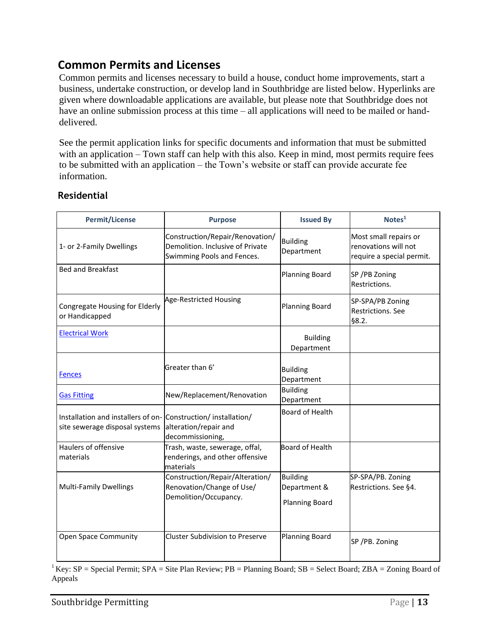# <span id="page-14-0"></span>**Common Permits and Licenses**

Common permits and licenses necessary to build a house, conduct home improvements, start a business, undertake construction, or develop land in Southbridge are listed below. Hyperlinks are given where downloadable applications are available, but please note that Southbridge does not have an online submission process at this time – all applications will need to be mailed or handdelivered.

See the permit application links for specific documents and information that must be submitted with an application – Town staff can help with this also. Keep in mind, most permits require fees to be submitted with an application – the Town's website or staff can provide accurate fee information.

### <span id="page-14-1"></span>**Residential**

| <b>Permit/License</b>                                                                            | <b>Purpose</b>                                                                                    | <b>Issued By</b>                                         | Notes <sup>1</sup>                                                         |
|--------------------------------------------------------------------------------------------------|---------------------------------------------------------------------------------------------------|----------------------------------------------------------|----------------------------------------------------------------------------|
| 1- or 2-Family Dwellings                                                                         | Construction/Repair/Renovation/<br>Demolition. Inclusive of Private<br>Swimming Pools and Fences. | <b>Building</b><br>Department                            | Most small repairs or<br>renovations will not<br>require a special permit. |
| <b>Bed and Breakfast</b>                                                                         |                                                                                                   | <b>Planning Board</b>                                    | SP /PB Zoning<br>Restrictions.                                             |
| Congregate Housing for Elderly<br>or Handicapped                                                 | Age-Restricted Housing                                                                            | <b>Planning Board</b>                                    | SP-SPA/PB Zoning<br>Restrictions. See<br>§8.2.                             |
| <b>Electrical Work</b>                                                                           |                                                                                                   | <b>Building</b><br>Department                            |                                                                            |
| <b>Fences</b>                                                                                    | Greater than 6'                                                                                   | <b>Building</b><br>Department                            |                                                                            |
| <b>Gas Fitting</b>                                                                               | New/Replacement/Renovation                                                                        | <b>Building</b><br>Department                            |                                                                            |
| Installation and installers of on- Construction/ installation/<br>site sewerage disposal systems | alteration/repair and<br>decommissioning,                                                         | Board of Health                                          |                                                                            |
| Haulers of offensive<br>materials                                                                | Trash, waste, sewerage, offal,<br>renderings, and other offensive<br>materials                    | Board of Health                                          |                                                                            |
| <b>Multi-Family Dwellings</b>                                                                    | Construction/Repair/Alteration/<br>Renovation/Change of Use/<br>Demolition/Occupancy.             | <b>Building</b><br>Department &<br><b>Planning Board</b> | SP-SPA/PB. Zoning<br>Restrictions. See §4.                                 |
| <b>Open Space Community</b>                                                                      | <b>Cluster Subdivision to Preserve</b>                                                            | <b>Planning Board</b>                                    | SP/PB. Zoning                                                              |

<sup>1</sup> Key: SP = Special Permit; SPA = Site Plan Review; PB = Planning Board; SB = Select Board; ZBA = Zoning Board of Appeals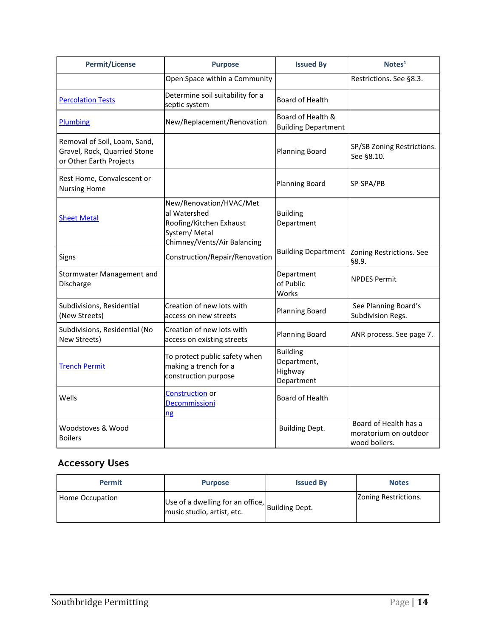| <b>Permit/License</b>                                                                   | <b>Purpose</b>                                                                                                     | <b>Issued By</b>                                        | Notes <sup>1</sup>                                              |
|-----------------------------------------------------------------------------------------|--------------------------------------------------------------------------------------------------------------------|---------------------------------------------------------|-----------------------------------------------------------------|
|                                                                                         | Open Space within a Community                                                                                      |                                                         | Restrictions. See §8.3.                                         |
| <b>Percolation Tests</b>                                                                | Determine soil suitability for a<br>septic system                                                                  | <b>Board of Health</b>                                  |                                                                 |
| Plumbing                                                                                | New/Replacement/Renovation                                                                                         | Board of Health &<br><b>Building Department</b>         |                                                                 |
| Removal of Soil, Loam, Sand,<br>Gravel, Rock, Quarried Stone<br>or Other Earth Projects |                                                                                                                    | <b>Planning Board</b>                                   | SP/SB Zoning Restrictions.<br>See §8.10.                        |
| Rest Home, Convalescent or<br><b>Nursing Home</b>                                       |                                                                                                                    | <b>Planning Board</b>                                   | SP-SPA/PB                                                       |
| <b>Sheet Metal</b>                                                                      | New/Renovation/HVAC/Met<br>al Watershed<br>Roofing/Kitchen Exhaust<br>System/ Metal<br>Chimney/Vents/Air Balancing | <b>Building</b><br>Department                           |                                                                 |
| Signs                                                                                   | Construction/Repair/Renovation                                                                                     | <b>Building Department</b>                              | Zoning Restrictions. See<br>88.9.                               |
| Stormwater Management and<br>Discharge                                                  |                                                                                                                    | Department<br>of Public<br>Works                        | <b>NPDES Permit</b>                                             |
| Subdivisions, Residential<br>(New Streets)                                              | Creation of new lots with<br>access on new streets                                                                 | <b>Planning Board</b>                                   | See Planning Board's<br>Subdivision Regs.                       |
| Subdivisions, Residential (No<br>New Streets)                                           | Creation of new lots with<br>access on existing streets                                                            | <b>Planning Board</b>                                   | ANR process. See page 7.                                        |
| <b>Trench Permit</b>                                                                    | To protect public safety when<br>making a trench for a<br>construction purpose                                     | <b>Building</b><br>Department,<br>Highway<br>Department |                                                                 |
| Wells                                                                                   | Construction or<br>Decommissioni<br><u>ng</u>                                                                      | Board of Health                                         |                                                                 |
| Woodstoves & Wood<br><b>Boilers</b>                                                     |                                                                                                                    | <b>Building Dept.</b>                                   | Board of Health has a<br>moratorium on outdoor<br>wood boilers. |

# <span id="page-15-0"></span>**Accessory Uses**

<span id="page-15-1"></span>

| <b>Permit</b>   | <b>Purpose</b>                                                                | <b>Issued By</b> | <b>Notes</b>         |
|-----------------|-------------------------------------------------------------------------------|------------------|----------------------|
| Home Occupation | Use of a dwelling for an office, Building Dept.<br>music studio, artist, etc. |                  | Zoning Restrictions. |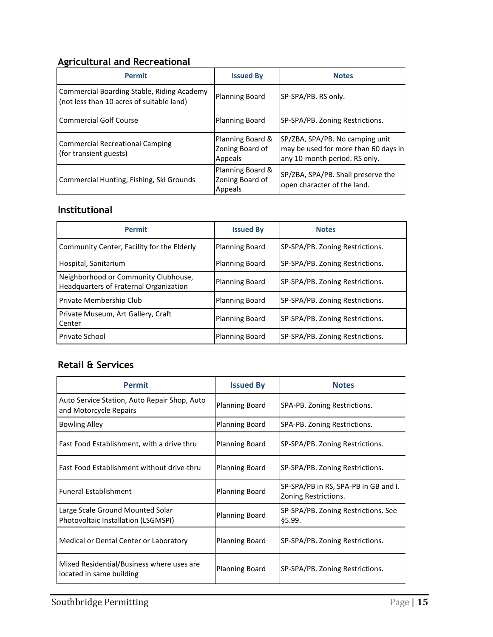### **Agricultural and Recreational**

| <b>Permit</b>                                                                           | <b>Issued By</b>                               | <b>Notes</b>                                                                                             |
|-----------------------------------------------------------------------------------------|------------------------------------------------|----------------------------------------------------------------------------------------------------------|
| Commercial Boarding Stable, Riding Academy<br>(not less than 10 acres of suitable land) | <b>Planning Board</b>                          | SP-SPA/PB. RS only.                                                                                      |
| <b>Commercial Golf Course</b>                                                           | <b>Planning Board</b>                          | SP-SPA/PB. Zoning Restrictions.                                                                          |
| <b>Commercial Recreational Camping</b><br>(for transient guests)                        | Planning Board &<br>Zoning Board of<br>Appeals | SP/ZBA, SPA/PB. No camping unit<br>may be used for more than 60 days in<br>any 10-month period. RS only. |
| Commercial Hunting, Fishing, Ski Grounds                                                | Planning Board &<br>Zoning Board of<br>Appeals | SP/ZBA, SPA/PB. Shall preserve the<br>open character of the land.                                        |

### <span id="page-16-0"></span>**Institutional**

| <b>Permit</b>                                                                         | <b>Issued By</b>      | <b>Notes</b>                    |
|---------------------------------------------------------------------------------------|-----------------------|---------------------------------|
| Community Center, Facility for the Elderly                                            | <b>Planning Board</b> | SP-SPA/PB. Zoning Restrictions. |
| Hospital, Sanitarium                                                                  | Planning Board        | SP-SPA/PB. Zoning Restrictions. |
| Neighborhood or Community Clubhouse,<br><b>Headquarters of Fraternal Organization</b> | <b>Planning Board</b> | SP-SPA/PB. Zoning Restrictions. |
| Private Membership Club                                                               | <b>Planning Board</b> | SP-SPA/PB. Zoning Restrictions. |
| Private Museum, Art Gallery, Craft<br>Center                                          | <b>Planning Board</b> | SP-SPA/PB. Zoning Restrictions. |
| Private School                                                                        | <b>Planning Board</b> | SP-SPA/PB. Zoning Restrictions. |

### <span id="page-16-1"></span>**Retail & Services**

| <b>Permit</b>                                                           | <b>Issued By</b>      | <b>Notes</b>                                                 |
|-------------------------------------------------------------------------|-----------------------|--------------------------------------------------------------|
| Auto Service Station, Auto Repair Shop, Auto<br>and Motorcycle Repairs  | <b>Planning Board</b> | SPA-PB. Zoning Restrictions.                                 |
| <b>Bowling Alley</b>                                                    | <b>Planning Board</b> | SPA-PB. Zoning Restrictions.                                 |
| Fast Food Establishment, with a drive thru                              | <b>Planning Board</b> | SP-SPA/PB. Zoning Restrictions.                              |
| Fast Food Establishment without drive-thru                              | <b>Planning Board</b> | SP-SPA/PB. Zoning Restrictions.                              |
| <b>Funeral Establishment</b>                                            | <b>Planning Board</b> | SP-SPA/PB in RS, SPA-PB in GB and I.<br>Zoning Restrictions. |
| Large Scale Ground Mounted Solar<br>Photovoltaic Installation (LSGMSPI) | <b>Planning Board</b> | SP-SPA/PB. Zoning Restrictions. See<br>§5.99.                |
| Medical or Dental Center or Laboratory                                  | <b>Planning Board</b> | SP-SPA/PB. Zoning Restrictions.                              |
| Mixed Residential/Business where uses are<br>located in same building   | <b>Planning Board</b> | SP-SPA/PB. Zoning Restrictions.                              |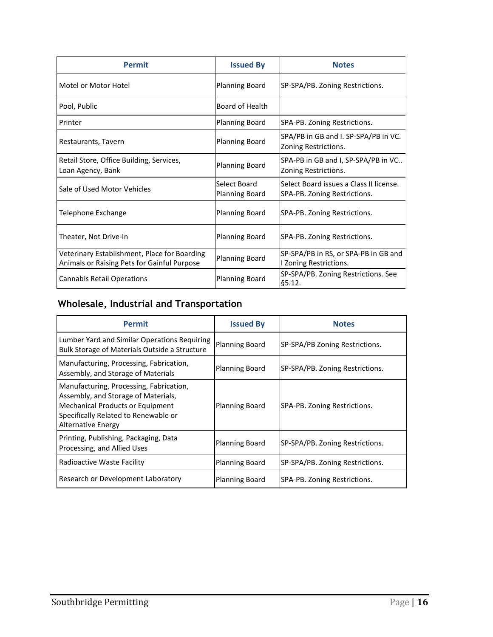| <b>Permit</b>                                                                               | <b>Issued By</b>                      | <b>Notes</b>                                                            |
|---------------------------------------------------------------------------------------------|---------------------------------------|-------------------------------------------------------------------------|
| Motel or Motor Hotel                                                                        | <b>Planning Board</b>                 | SP-SPA/PB. Zoning Restrictions.                                         |
| Pool, Public                                                                                | <b>Board of Health</b>                |                                                                         |
| Printer                                                                                     | <b>Planning Board</b>                 | SPA-PB. Zoning Restrictions.                                            |
| Restaurants, Tavern                                                                         | <b>Planning Board</b>                 | SPA/PB in GB and I. SP-SPA/PB in VC.<br>Zoning Restrictions.            |
| Retail Store, Office Building, Services,<br>Loan Agency, Bank                               | <b>Planning Board</b>                 | SPA-PB in GB and I, SP-SPA/PB in VC<br>Zoning Restrictions.             |
| Sale of Used Motor Vehicles                                                                 | Select Board<br><b>Planning Board</b> | Select Board issues a Class II license.<br>SPA-PB. Zoning Restrictions. |
| Telephone Exchange                                                                          | <b>Planning Board</b>                 | SPA-PB. Zoning Restrictions.                                            |
| Theater, Not Drive-In                                                                       | <b>Planning Board</b>                 | SPA-PB. Zoning Restrictions.                                            |
| Veterinary Establishment, Place for Boarding<br>Animals or Raising Pets for Gainful Purpose | <b>Planning Board</b>                 | SP-SPA/PB in RS, or SPA-PB in GB and<br>I Zoning Restrictions.          |
| <b>Cannabis Retail Operations</b>                                                           | <b>Planning Board</b>                 | SP-SPA/PB. Zoning Restrictions. See<br>§5.12.                           |

# <span id="page-17-0"></span>**Wholesale, Industrial and Transportation**

| <b>Permit</b>                                                                                                                                                                                  | <b>Issued By</b>      | <b>Notes</b>                    |
|------------------------------------------------------------------------------------------------------------------------------------------------------------------------------------------------|-----------------------|---------------------------------|
| Lumber Yard and Similar Operations Requiring<br><b>Bulk Storage of Materials Outside a Structure</b>                                                                                           | <b>Planning Board</b> | SP-SPA/PB Zoning Restrictions.  |
| Manufacturing, Processing, Fabrication,<br>Assembly, and Storage of Materials                                                                                                                  | <b>Planning Board</b> | SP-SPA/PB. Zoning Restrictions. |
| Manufacturing, Processing, Fabrication,<br>Assembly, and Storage of Materials,<br><b>Mechanical Products or Equipment</b><br>Specifically Related to Renewable or<br><b>Alternative Energy</b> | <b>Planning Board</b> | SPA-PB. Zoning Restrictions.    |
| Printing, Publishing, Packaging, Data<br>Processing, and Allied Uses                                                                                                                           | <b>Planning Board</b> | SP-SPA/PB. Zoning Restrictions. |
| Radioactive Waste Facility                                                                                                                                                                     | <b>Planning Board</b> | SP-SPA/PB. Zoning Restrictions. |
| Research or Development Laboratory                                                                                                                                                             | <b>Planning Board</b> | SPA-PB. Zoning Restrictions.    |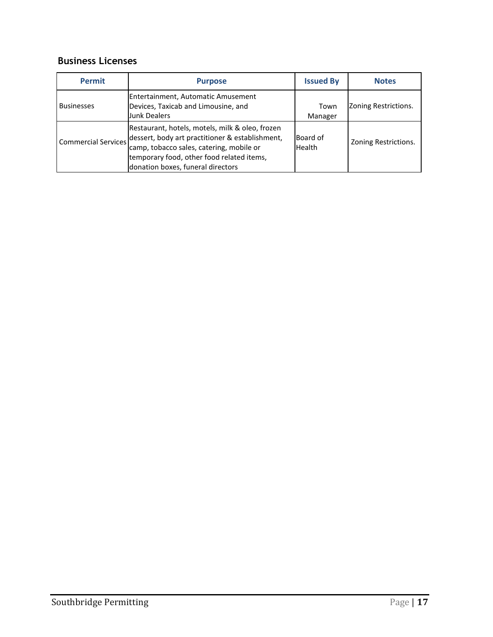### **Business Licenses**

<span id="page-18-0"></span>

| <b>Permit</b>              | <b>Purpose</b>                                                                                                                                                                              | <b>Issued By</b>    | <b>Notes</b>         |
|----------------------------|---------------------------------------------------------------------------------------------------------------------------------------------------------------------------------------------|---------------------|----------------------|
| <b>Businesses</b>          | Entertainment, Automatic Amusement<br>Devices, Taxicab and Limousine, and<br><b>Junk Dealers</b>                                                                                            | Town<br>Manager     | Zoning Restrictions. |
| <b>Commercial Services</b> | Restaurant, hotels, motels, milk & oleo, frozen<br>dessert, body art practitioner & establishment,<br>camp, tobacco sales, catering, mobile or<br>temporary food, other food related items, | lBoard of<br>Health | Zoning Restrictions. |
|                            | donation boxes, funeral directors                                                                                                                                                           |                     |                      |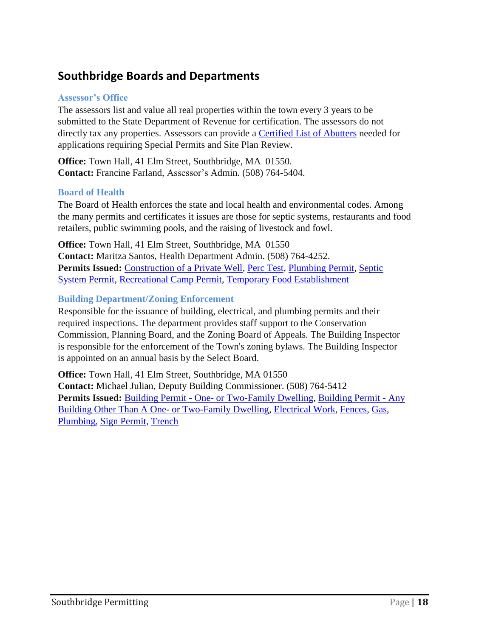# **Southbridge Boards and Departments**

#### **Assessor's Office**

The assessors list and value all real properties within the town every 3 years to be submitted to the State Department of Revenue for certification. The assessors do not directly tax any properties. Assessors can provide a Certified List of Abutters needed for applications requiring Special Permits and Site Plan Review.

**Office:** Town Hall, 41 Elm Street, Southbridge, MA 01550. **Contact:** Francine Farland, Assessor's Admin. (508) 764-5404.

#### **Board of Health**

The Board of Health enforces the state and local health and environmental codes. Among the many permits and certificates it issues are those for septic systems, restaurants and food retailers, public swimming pools, and the raising of livestock and fowl.

**Office:** Town Hall, 41 Elm Street, Southbridge, MA 01550 **Contact:** Maritza Santos, Health Department Admin. (508) 764-4252. **Permits Issued:** Construction of a Private Well, Perc Test, Plumbing Permit, Septic System Permit, Recreational Camp Permit, Temporary Food Establishment

#### **Building Department/Zoning Enforcement**

Responsible for the issuance of building, electrical, and plumbing permits and their required inspections. The department provides staff support to the Conservation Commission, Planning Board, and the Zoning Board of Appeals. The Building Inspector is responsible for the enforcement of the Town's zoning bylaws. The Building Inspector is appointed on an annual basis by the Select Board.

**Office:** Town Hall, 41 Elm Street, Southbridge, MA 01550 **Contact:** Michael Julian, Deputy Building Commissioner. (508) 764-5412 Permits Issued: Building Permit - One- or Two-Family Dwelling, Building Permit - Any Building Other Than A One- or Two-Family Dwelling, Electrical Work, Fences, Gas,

Plumbing, Sign Permit, Trench